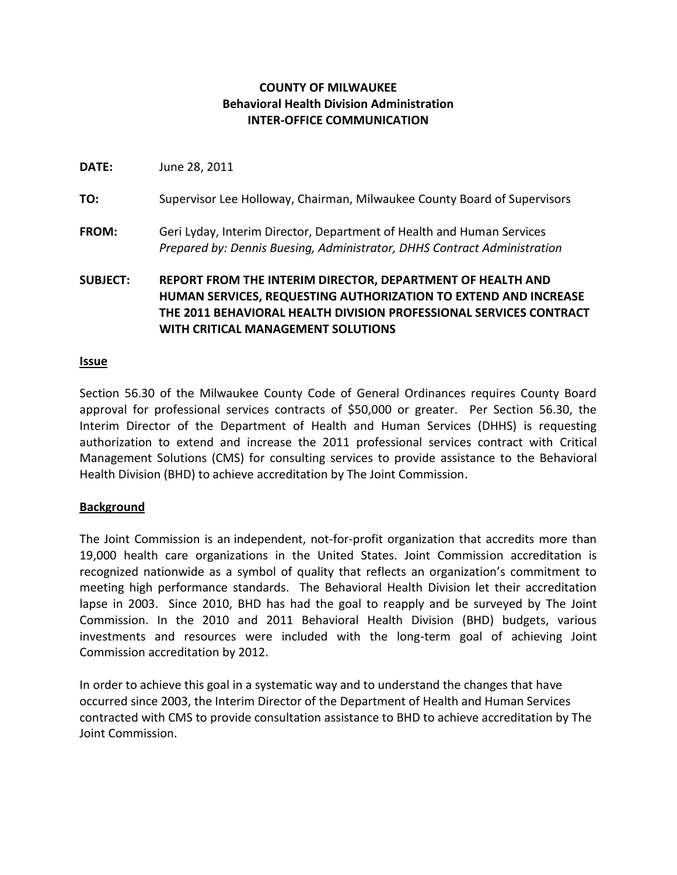# **COUNTY OF MILWAUKEE Behavioral Health Division Administration INTER-OFFICE COMMUNICATION**

**DATE:** June 28, 2011

- **TO:** Supervisor Lee Holloway, Chairman, Milwaukee County Board of Supervisors
- **FROM:** Geri Lyday, Interim Director, Department of Health and Human Services *Prepared by: Dennis Buesing, Administrator, DHHS Contract Administration*

**SUBJECT: REPORT FROM THE INTERIM DIRECTOR, DEPARTMENT OF HEALTH AND HUMAN SERVICES, REQUESTING AUTHORIZATION TO EXTEND AND INCREASE THE 2011 BEHAVIORAL HEALTH DIVISION PROFESSIONAL SERVICES CONTRACT WITH CRITICAL MANAGEMENT SOLUTIONS**

#### **Issue**

Section 56.30 of the Milwaukee County Code of General Ordinances requires County Board approval for professional services contracts of \$50,000 or greater. Per Section 56.30, the Interim Director of the Department of Health and Human Services (DHHS) is requesting authorization to extend and increase the 2011 professional services contract with Critical Management Solutions (CMS) for consulting services to provide assistance to the Behavioral Health Division (BHD) to achieve accreditation by The Joint Commission.

### **Background**

The Joint Commission is an independent, not-for-profit organization that accredits more than 19,000 health care organizations in the United States. Joint Commission accreditation is recognized nationwide as a symbol of quality that reflects an organization's commitment to meeting high performance standards. The Behavioral Health Division let their accreditation lapse in 2003. Since 2010, BHD has had the goal to reapply and be surveyed by The Joint Commission. In the 2010 and 2011 Behavioral Health Division (BHD) budgets, various investments and resources were included with the long-term goal of achieving Joint Commission accreditation by 2012.

In order to achieve this goal in a systematic way and to understand the changes that have occurred since 2003, the Interim Director of the Department of Health and Human Services contracted with CMS to provide consultation assistance to BHD to achieve accreditation by The Joint Commission.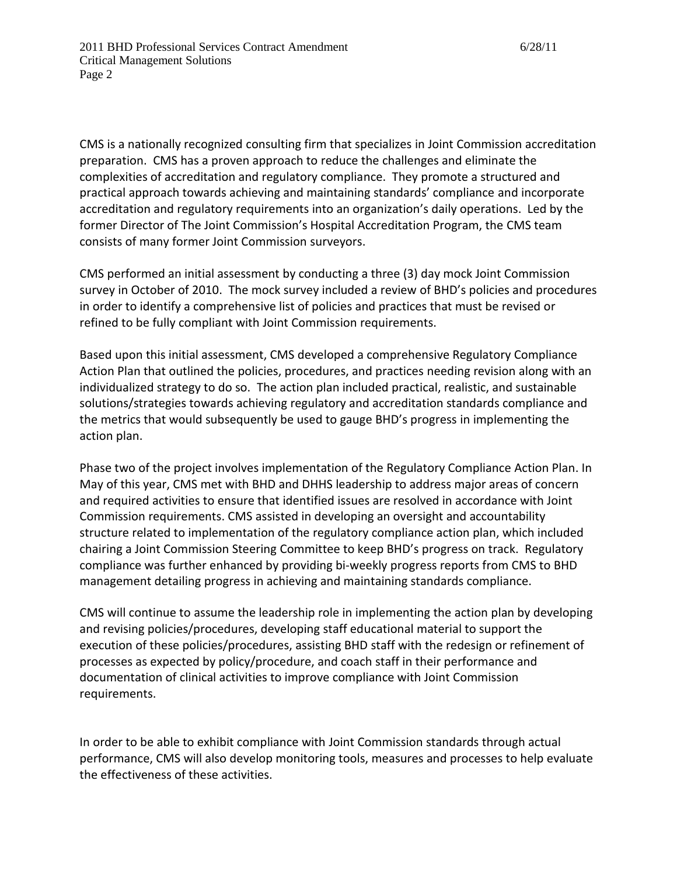CMS is a nationally recognized consulting firm that specializes in Joint Commission accreditation preparation. CMS has a proven approach to reduce the challenges and eliminate the complexities of accreditation and regulatory compliance. They promote a structured and practical approach towards achieving and maintaining standards' compliance and incorporate accreditation and regulatory requirements into an organization's daily operations. Led by the former Director of The Joint Commission's Hospital Accreditation Program, the CMS team consists of many former Joint Commission surveyors.

CMS performed an initial assessment by conducting a three (3) day mock Joint Commission survey in October of 2010. The mock survey included a review of BHD's policies and procedures in order to identify a comprehensive list of policies and practices that must be revised or refined to be fully compliant with Joint Commission requirements.

Based upon this initial assessment, CMS developed a comprehensive Regulatory Compliance Action Plan that outlined the policies, procedures, and practices needing revision along with an individualized strategy to do so. The action plan included practical, realistic, and sustainable solutions/strategies towards achieving regulatory and accreditation standards compliance and the metrics that would subsequently be used to gauge BHD's progress in implementing the action plan.

Phase two of the project involves implementation of the Regulatory Compliance Action Plan. In May of this year, CMS met with BHD and DHHS leadership to address major areas of concern and required activities to ensure that identified issues are resolved in accordance with Joint Commission requirements. CMS assisted in developing an oversight and accountability structure related to implementation of the regulatory compliance action plan, which included chairing a Joint Commission Steering Committee to keep BHD's progress on track. Regulatory compliance was further enhanced by providing bi-weekly progress reports from CMS to BHD management detailing progress in achieving and maintaining standards compliance.

CMS will continue to assume the leadership role in implementing the action plan by developing and revising policies/procedures, developing staff educational material to support the execution of these policies/procedures, assisting BHD staff with the redesign or refinement of processes as expected by policy/procedure, and coach staff in their performance and documentation of clinical activities to improve compliance with Joint Commission requirements.

In order to be able to exhibit compliance with Joint Commission standards through actual performance, CMS will also develop monitoring tools, measures and processes to help evaluate the effectiveness of these activities.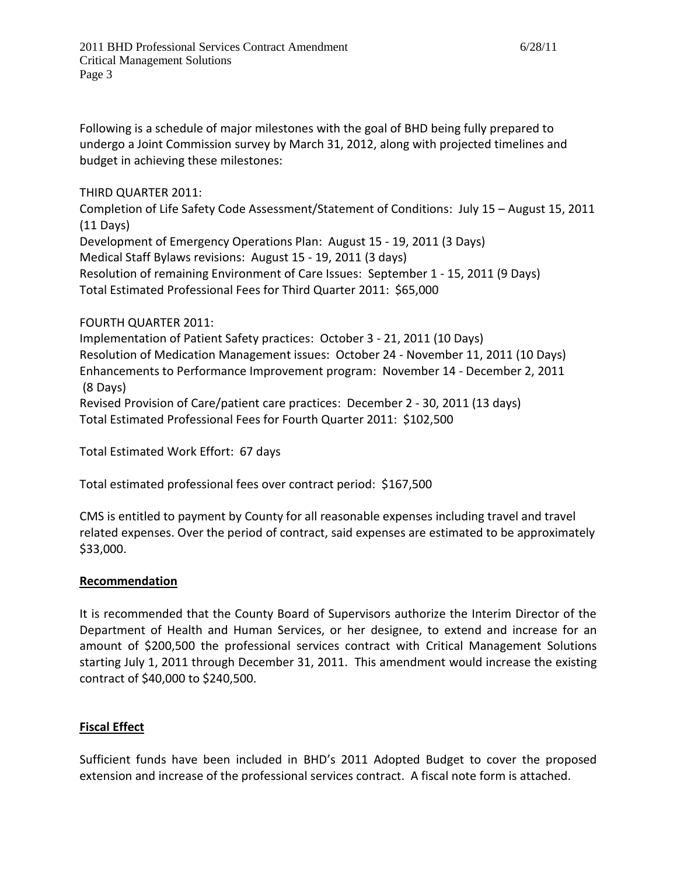Following is a schedule of major milestones with the goal of BHD being fully prepared to undergo a Joint Commission survey by March 31, 2012, along with projected timelines and budget in achieving these milestones:

THIRD QUARTER 2011:

Completion of Life Safety Code Assessment/Statement of Conditions: July 15 – August 15, 2011 (11 Days)

Development of Emergency Operations Plan: August 15 - 19, 2011 (3 Days)

Medical Staff Bylaws revisions: August 15 - 19, 2011 (3 days)

Resolution of remaining Environment of Care Issues: September 1 - 15, 2011 (9 Days) Total Estimated Professional Fees for Third Quarter 2011: \$65,000

## FOURTH QUARTER 2011:

Implementation of Patient Safety practices: October 3 - 21, 2011 (10 Days) Resolution of Medication Management issues: October 24 - November 11, 2011 (10 Days) Enhancements to Performance Improvement program: November 14 - December 2, 2011 (8 Days) Revised Provision of Care/patient care practices: December 2 - 30, 2011 (13 days)

Total Estimated Professional Fees for Fourth Quarter 2011: \$102,500

Total Estimated Work Effort: 67 days

Total estimated professional fees over contract period: \$167,500

CMS is entitled to payment by County for all reasonable expenses including travel and travel related expenses. Over the period of contract, said expenses are estimated to be approximately \$33,000.

### **Recommendation**

It is recommended that the County Board of Supervisors authorize the Interim Director of the Department of Health and Human Services, or her designee, to extend and increase for an amount of \$200,500 the professional services contract with Critical Management Solutions starting July 1, 2011 through December 31, 2011. This amendment would increase the existing contract of \$40,000 to \$240,500.

### **Fiscal Effect**

Sufficient funds have been included in BHD's 2011 Adopted Budget to cover the proposed extension and increase of the professional services contract. A fiscal note form is attached.